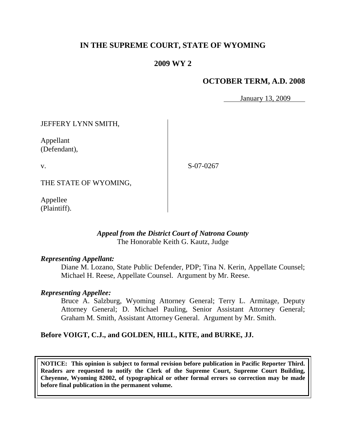# **IN THE SUPREME COURT, STATE OF WYOMING**

# **2009 WY 2**

# **OCTOBER TERM, A.D. 2008**

January 13, 2009

JEFFERY LYNN SMITH,

Appellant (Defendant),

v.

S-07-0267

THE STATE OF WYOMING,

Appellee (Plaintiff).

#### *Appeal from the District Court of Natrona County* The Honorable Keith G. Kautz, Judge

#### *Representing Appellant:*

Diane M. Lozano, State Public Defender, PDP; Tina N. Kerin, Appellate Counsel; Michael H. Reese, Appellate Counsel. Argument by Mr. Reese.

#### *Representing Appellee:*

Bruce A. Salzburg, Wyoming Attorney General; Terry L. Armitage, Deputy Attorney General; D. Michael Pauling, Senior Assistant Attorney General; Graham M. Smith, Assistant Attorney General. Argument by Mr. Smith.

## **Before VOIGT, C.J., and GOLDEN, HILL, KITE, and BURKE, JJ.**

**NOTICE: This opinion is subject to formal revision before publication in Pacific Reporter Third. Readers are requested to notify the Clerk of the Supreme Court, Supreme Court Building, Cheyenne, Wyoming 82002, of typographical or other formal errors so correction may be made before final publication in the permanent volume.**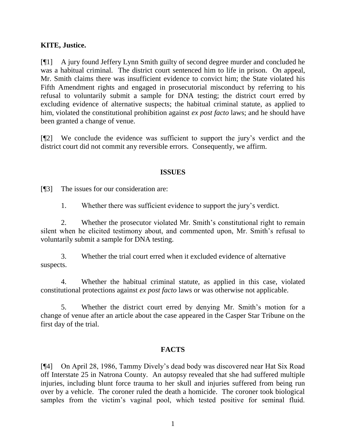## **KITE, Justice.**

[¶1] A jury found Jeffery Lynn Smith guilty of second degree murder and concluded he was a habitual criminal. The district court sentenced him to life in prison. On appeal, Mr. Smith claims there was insufficient evidence to convict him; the State violated his Fifth Amendment rights and engaged in prosecutorial misconduct by referring to his refusal to voluntarily submit a sample for DNA testing; the district court erred by excluding evidence of alternative suspects; the habitual criminal statute, as applied to him, violated the constitutional prohibition against *ex post facto* laws; and he should have been granted a change of venue.

[¶2] We conclude the evidence was sufficient to support the jury's verdict and the district court did not commit any reversible errors. Consequently, we affirm.

#### **ISSUES**

[¶3] The issues for our consideration are:

1. Whether there was sufficient evidence to support the jury's verdict.

2. Whether the prosecutor violated Mr. Smith's constitutional right to remain silent when he elicited testimony about, and commented upon, Mr. Smith's refusal to voluntarily submit a sample for DNA testing.

3. Whether the trial court erred when it excluded evidence of alternative suspects.

4. Whether the habitual criminal statute, as applied in this case, violated constitutional protections against *ex post facto* laws or was otherwise not applicable.

5. Whether the district court erred by denying Mr. Smith's motion for a change of venue after an article about the case appeared in the Casper Star Tribune on the first day of the trial.

## **FACTS**

[¶4] On April 28, 1986, Tammy Dively's dead body was discovered near Hat Six Road off Interstate 25 in Natrona County. An autopsy revealed that she had suffered multiple injuries, including blunt force trauma to her skull and injuries suffered from being run over by a vehicle. The coroner ruled the death a homicide. The coroner took biological samples from the victim's vaginal pool, which tested positive for seminal fluid.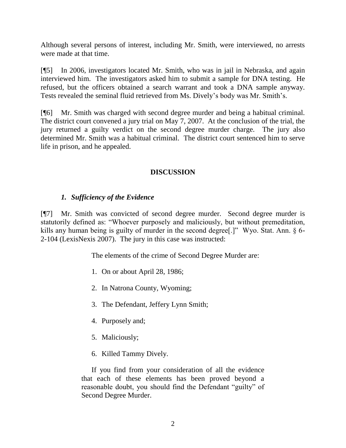Although several persons of interest, including Mr. Smith, were interviewed, no arrests were made at that time.

[¶5] In 2006, investigators located Mr. Smith, who was in jail in Nebraska, and again interviewed him. The investigators asked him to submit a sample for DNA testing. He refused, but the officers obtained a search warrant and took a DNA sample anyway. Tests revealed the seminal fluid retrieved from Ms. Dively's body was Mr. Smith's.

[¶6] Mr. Smith was charged with second degree murder and being a habitual criminal. The district court convened a jury trial on May 7, 2007. At the conclusion of the trial, the jury returned a guilty verdict on the second degree murder charge. The jury also determined Mr. Smith was a habitual criminal. The district court sentenced him to serve life in prison, and he appealed.

# **DISCUSSION**

## *1. Sufficiency of the Evidence*

[¶7] Mr. Smith was convicted of second degree murder. Second degree murder is statutorily defined as: "Whoever purposely and maliciously, but without premeditation, kills any human being is guilty of murder in the second degree.<sup>[1]</sup> Wyo. Stat. Ann.  $\S$  6-2-104 (LexisNexis 2007). The jury in this case was instructed:

The elements of the crime of Second Degree Murder are:

- 1. On or about April 28, 1986;
- 2. In Natrona County, Wyoming;
- 3. The Defendant, Jeffery Lynn Smith;
- 4. Purposely and;
- 5. Maliciously;
- 6. Killed Tammy Dively.

If you find from your consideration of all the evidence that each of these elements has been proved beyond a reasonable doubt, you should find the Defendant "guilty" of Second Degree Murder.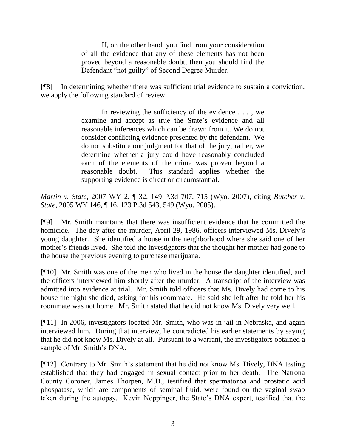If, on the other hand, you find from your consideration of all the evidence that any of these elements has not been proved beyond a reasonable doubt, then you should find the Defendant "not guilty" of Second Degree Murder.

[¶8] In determining whether there was sufficient trial evidence to sustain a conviction, we apply the following standard of review:

> In reviewing the sufficiency of the evidence . . . , we examine and accept as true the State's evidence and all reasonable inferences which can be drawn from it. We do not consider conflicting evidence presented by the defendant. We do not substitute our judgment for that of the jury; rather, we determine whether a jury could have reasonably concluded each of the elements of the crime was proven beyond a reasonable doubt. This standard applies whether the supporting evidence is direct or circumstantial.

*Martin v. State,* 2007 WY 2, ¶ 32, 149 P.3d 707, 715 (Wyo. 2007), citing *Butcher v. State*, 2005 WY 146, ¶ 16, 123 P.3d 543, 549 (Wyo. 2005).

[¶9] Mr. Smith maintains that there was insufficient evidence that he committed the homicide. The day after the murder, April 29, 1986, officers interviewed Ms. Dively's young daughter. She identified a house in the neighborhood where she said one of her mother's friends lived. She told the investigators that she thought her mother had gone to the house the previous evening to purchase marijuana.

[¶10] Mr. Smith was one of the men who lived in the house the daughter identified, and the officers interviewed him shortly after the murder. A transcript of the interview was admitted into evidence at trial. Mr. Smith told officers that Ms. Dively had come to his house the night she died, asking for his roommate. He said she left after he told her his roommate was not home. Mr. Smith stated that he did not know Ms. Dively very well.

[¶11] In 2006, investigators located Mr. Smith, who was in jail in Nebraska, and again interviewed him. During that interview, he contradicted his earlier statements by saying that he did not know Ms. Dively at all. Pursuant to a warrant, the investigators obtained a sample of Mr. Smith's DNA.

[¶12] Contrary to Mr. Smith's statement that he did not know Ms. Dively, DNA testing established that they had engaged in sexual contact prior to her death. The Natrona County Coroner, James Thorpen, M.D., testified that spermatozoa and prostatic acid phospatase, which are components of seminal fluid, were found on the vaginal swab taken during the autopsy. Kevin Noppinger, the State's DNA expert, testified that the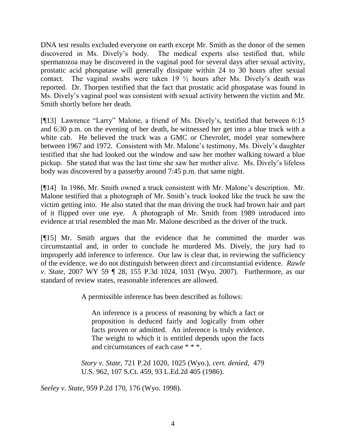DNA test results excluded everyone on earth except Mr. Smith as the donor of the semen discovered in Ms. Dively's body. The medical experts also testified that, while spermatozoa may be discovered in the vaginal pool for several days after sexual activity, prostatic acid phospatase will generally dissipate within 24 to 30 hours after sexual contact. The vaginal swabs were taken  $19\frac{1}{2}$  hours after Ms. Dively's death was reported. Dr. Thorpen testified that the fact that prostatic acid phospatase was found in Ms. Dively's vaginal pool was consistent with sexual activity between the victim and Mr. Smith shortly before her death.

[¶13] Lawrence "Larry" Malone, a friend of Ms. Dively's, testified that between 6:15 and 6:30 p.m. on the evening of her death, he witnessed her get into a blue truck with a white cab. He believed the truck was a GMC or Chevrolet, model year somewhere between 1967 and 1972. Consistent with Mr. Malone's testimony, Ms. Dively's daughter testified that she had looked out the window and saw her mother walking toward a blue pickup. She stated that was the last time she saw her mother alive. Ms. Dively's lifeless body was discovered by a passerby around 7:45 p.m. that same night.

[¶14] In 1986, Mr. Smith owned a truck consistent with Mr. Malone's description. Mr. Malone testified that a photograph of Mr. Smith's truck looked like the truck he saw the victim getting into. He also stated that the man driving the truck had brown hair and part of it flipped over one eye. A photograph of Mr. Smith from 1989 introduced into evidence at trial resembled the man Mr. Malone described as the driver of the truck.

[¶15] Mr. Smith argues that the evidence that he committed the murder was circumstantial and, in order to conclude he murdered Ms. Dively, the jury had to improperly add inference to inference. Our law is clear that, in reviewing the sufficiency of the evidence, we do not distinguish between direct and circumstantial evidence. *Rawle v. State,* 2007 WY 59 ¶ 28, 155 P.3d 1024, 1031 (Wyo. 2007). Furthermore, as our standard of review states, reasonable inferences are allowed.

A permissible inference has been described as follows:

An inference is a process of reasoning by which a fact or proposition is deduced fairly and logically from other facts proven or admitted. An inference is truly evidence. The weight to which it is entitled depends upon the facts and circumstances of each case \* \* \*.

*Story v. State*, 721 P.2d 1020, 1025 (Wyo.), *cert. denied*, 479 U.S. 962, 107 S.Ct. 459, 93 L.Ed.2d 405 (1986).

*Seeley v. State,* 959 P.2d 170, 176 (Wyo. 1998).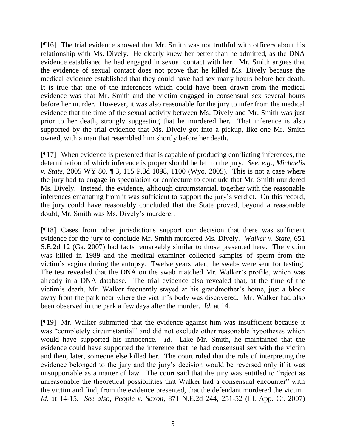[¶16] The trial evidence showed that Mr. Smith was not truthful with officers about his relationship with Ms. Dively. He clearly knew her better than he admitted, as the DNA evidence established he had engaged in sexual contact with her. Mr. Smith argues that the evidence of sexual contact does not prove that he killed Ms. Dively because the medical evidence established that they could have had sex many hours before her death. It is true that one of the inferences which could have been drawn from the medical evidence was that Mr. Smith and the victim engaged in consensual sex several hours before her murder. However, it was also reasonable for the jury to infer from the medical evidence that the time of the sexual activity between Ms. Dively and Mr. Smith was just prior to her death, strongly suggesting that he murdered her. That inference is also supported by the trial evidence that Ms. Dively got into a pickup, like one Mr. Smith owned, with a man that resembled him shortly before her death.

[¶17] When evidence is presented that is capable of producing conflicting inferences, the determination of which inference is proper should be left to the jury. *See, e.g*., *Michaelis v. State,* 2005 WY 80, ¶ 3, 115 P.3d 1098, 1100 (Wyo. 2005). This is not a case where the jury had to engage in speculation or conjecture to conclude that Mr. Smith murdered Ms. Dively. Instead, the evidence, although circumstantial, together with the reasonable inferences emanating from it was sufficient to support the jury's verdict. On this record, the jury could have reasonably concluded that the State proved, beyond a reasonable doubt, Mr. Smith was Ms. Dively's murderer.

[¶18] Cases from other jurisdictions support our decision that there was sufficient evidence for the jury to conclude Mr. Smith murdered Ms. Dively. *Walker v. State,* 651 S.E.2d 12 (Ga. 2007) had facts remarkably similar to those presented here. The victim was killed in 1989 and the medical examiner collected samples of sperm from the victim's vagina during the autopsy. Twelve years later, the swabs were sent for testing. The test revealed that the DNA on the swab matched Mr. Walker's profile, which was already in a DNA database. The trial evidence also revealed that, at the time of the victim's death, Mr. Walker frequently stayed at his grandmother's home, just a block away from the park near where the victim's body was discovered. Mr. Walker had also been observed in the park a few days after the murder. *Id.* at 14.

[¶19] Mr. Walker submitted that the evidence against him was insufficient because it was "completely circumstantial" and did not exclude other reasonable hypotheses which would have supported his innocence. *Id.* Like Mr. Smith, he maintained that the evidence could have supported the inference that he had consensual sex with the victim and then, later, someone else killed her. The court ruled that the role of interpreting the evidence belonged to the jury and the jury's decision would be reversed only if it was unsupportable as a matter of law. The court said that the jury was entitled to "reject as unreasonable the theoretical possibilities that Walker had a consensual encounter" with the victim and find, from the evidence presented, that the defendant murdered the victim. *Id.* at 14-15. *See also*, *People v. Saxon,* 871 N.E.2d 244, 251-52 (Ill. App. Ct. 2007)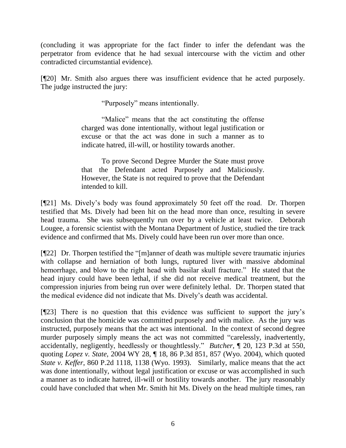(concluding it was appropriate for the fact finder to infer the defendant was the perpetrator from evidence that he had sexual intercourse with the victim and other contradicted circumstantial evidence).

[¶20] Mr. Smith also argues there was insufficient evidence that he acted purposely. The judge instructed the jury:

"Purposely" means intentionally.

"Malice" means that the act constituting the offense charged was done intentionally, without legal justification or excuse or that the act was done in such a manner as to indicate hatred, ill-will, or hostility towards another.

To prove Second Degree Murder the State must prove that the Defendant acted Purposely and Maliciously. However, the State is not required to prove that the Defendant intended to kill.

[¶21] Ms. Dively's body was found approximately 50 feet off the road. Dr. Thorpen testified that Ms. Dively had been hit on the head more than once, resulting in severe head trauma. She was subsequently run over by a vehicle at least twice. Deborah Lougee, a forensic scientist with the Montana Department of Justice, studied the tire track evidence and confirmed that Ms. Dively could have been run over more than once.

 $[922]$  Dr. Thorpen testified the "[m]anner of death was multiple severe traumatic injuries with collapse and herniation of both lungs, ruptured liver with massive abdominal hemorrhage, and blow to the right head with basilar skull fracture." He stated that the head injury could have been lethal, if she did not receive medical treatment, but the compression injuries from being run over were definitely lethal. Dr. Thorpen stated that the medical evidence did not indicate that Ms. Dively's death was accidental.

[¶23] There is no question that this evidence was sufficient to support the jury's conclusion that the homicide was committed purposely and with malice. As the jury was instructed, purposely means that the act was intentional. In the context of second degree murder purposely simply means the act was not committed "carelessly, inadvertently, accidentally, negligently, heedlessly or thoughtlessly." *Butcher*,  $\parallel$  20, 123 P.3d at 550, quoting *Lopez v. State*, 2004 WY 28, ¶ 18, 86 P.3d 851, 857 (Wyo. 2004), which quoted *State v. Keffer*, 860 P.2d 1118, 1138 (Wyo. 1993). Similarly, malice means that the act was done intentionally, without legal justification or excuse or was accomplished in such a manner as to indicate hatred, ill-will or hostility towards another. The jury reasonably could have concluded that when Mr. Smith hit Ms. Dively on the head multiple times, ran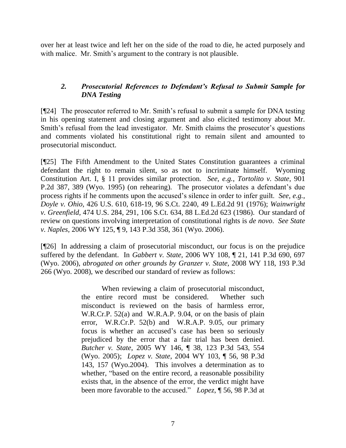over her at least twice and left her on the side of the road to die, he acted purposely and with malice. Mr. Smith's argument to the contrary is not plausible.

# *2. Prosecutorial References to Defendant's Refusal to Submit Sample for DNA Testing*

[¶24] The prosecutor referred to Mr. Smith's refusal to submit a sample for DNA testing in his opening statement and closing argument and also elicited testimony about Mr. Smith's refusal from the lead investigator. Mr. Smith claims the prosecutor's questions and comments violated his constitutional right to remain silent and amounted to prosecutorial misconduct.

[¶25] The Fifth Amendment to the United States Constitution guarantees a criminal defendant the right to remain silent, so as not to incriminate himself. Wyoming Constitution Art. I, § 11 provides similar protection. *See, e.g.*, *Tortolito v. State,* 901 P.2d 387, 389 (Wyo. 1995) (on rehearing). The prosecutor violates a defendant's due process rights if he comments upon the accused's silence in order to infer guilt. *See, e.g.*, *Doyle v. Ohio,* 426 U.S. 610, 618-19, 96 S.Ct. 2240, 49 L.Ed.2d 91 (1976); *Wainwright v. Greenfield,* 474 U.S. 284, 291, 106 S.Ct. 634, 88 L.Ed.2d 623 (1986). Our standard of review on questions involving interpretation of constitutional rights is *de novo*. *See State v. Naples,* 2006 WY 125, ¶ 9, 143 P.3d 358, 361 (Wyo. 2006).

[¶26] In addressing a claim of prosecutorial misconduct, our focus is on the prejudice suffered by the defendant. In *Gabbert v. State,* 2006 WY 108, ¶ 21, 141 P.3d 690, 697 (Wyo. 2006), *abrogated on other grounds by Granzer v. State,* 2008 WY 118, 193 P.3d 266 (Wyo. 2008), we described our standard of review as follows:

> When reviewing a claim of prosecutorial misconduct, the entire record must be considered. Whether such misconduct is reviewed on the basis of harmless error, W.R.Cr.P. 52(a) and W.R.A.P. 9.04, or on the basis of plain error, W.R.Cr.P. 52(b) and W.R.A.P. 9.05, our primary focus is whether an accused's case has been so seriously prejudiced by the error that a fair trial has been denied. *Butcher v. State*, 2005 WY 146, ¶ 38, 123 P.3d 543, 554 (Wyo. 2005); *Lopez v. State,* 2004 WY 103, ¶ 56, 98 P.3d 143, 157 (Wyo.2004). This involves a determination as to whether, "based on the entire record, a reasonable possibility exists that, in the absence of the error, the verdict might have been more favorable to the accused." *Lopez*, ¶ 56, 98 P.3d at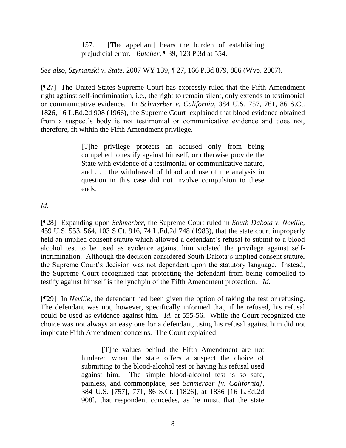157. [The appellant] bears the burden of establishing prejudicial error. *Butcher*, ¶ 39, 123 P.3d at 554.

#### *See also*, *Szymanski v. State,* 2007 WY 139, ¶ 27, 166 P.3d 879, 886 (Wyo. 2007).

[¶27] The United States Supreme Court has expressly ruled that the Fifth Amendment right against self-incrimination, i.e., the right to remain silent, only extends to testimonial or communicative evidence. In *Schmerber v. California,* 384 U.S. 757, 761, 86 S.Ct. 1826, 16 L.Ed.2d 908 (1966), the Supreme Court explained that blood evidence obtained from a suspect's body is not testimonial or communicative evidence and does not, therefore, fit within the Fifth Amendment privilege.

> [T]he privilege protects an accused only from being compelled to testify against himself, or otherwise provide the State with evidence of a testimonial or communicative nature, and . . . the withdrawal of blood and use of the analysis in question in this case did not involve compulsion to these ends.

## *Id.*

[¶28] Expanding upon *Schmerber,* the Supreme Court ruled in *South Dakota v. Neville,*  459 U.S. 553, 564, 103 S.Ct. 916, 74 L.Ed.2d 748 (1983), that the state court improperly held an implied consent statute which allowed a defendant's refusal to submit to a blood alcohol test to be used as evidence against him violated the privilege against selfincrimination. Although the decision considered South Dakota's implied consent statute, the Supreme Court's decision was not dependent upon the statutory language. Instead, the Supreme Court recognized that protecting the defendant from being compelled to testify against himself is the lynchpin of the Fifth Amendment protection. *Id.* 

[¶29] In *Neville,* the defendant had been given the option of taking the test or refusing. The defendant was not, however, specifically informed that, if he refused, his refusal could be used as evidence against him. *Id.* at 555-56. While the Court recognized the choice was not always an easy one for a defendant, using his refusal against him did not implicate Fifth Amendment concerns. The Court explained:

> [T]he values behind the Fifth Amendment are not hindered when the state offers a suspect the choice of submitting to the blood-alcohol test or having his refusal used against him. The simple blood-alcohol test is so safe, painless, and commonplace, see *Schmerber [v. California]*, 384 U.S. [757], 771, 86 S.Ct. [1826], at 1836 [16 L.Ed.2d 908], that respondent concedes, as he must, that the state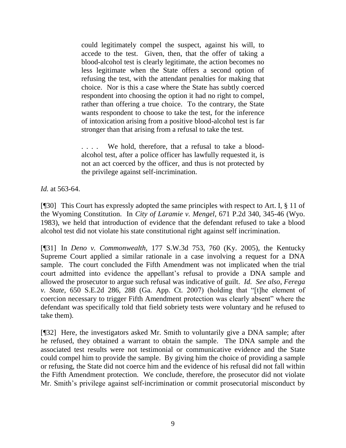could legitimately compel the suspect, against his will, to accede to the test. Given, then, that the offer of taking a blood-alcohol test is clearly legitimate, the action becomes no less legitimate when the State offers a second option of refusing the test, with the attendant penalties for making that choice. Nor is this a case where the State has subtly coerced respondent into choosing the option it had no right to compel, rather than offering a true choice. To the contrary, the State wants respondent to choose to take the test, for the inference of intoxication arising from a positive blood-alcohol test is far stronger than that arising from a refusal to take the test.

. . . . We hold, therefore, that a refusal to take a bloodalcohol test, after a police officer has lawfully requested it, is not an act coerced by the officer, and thus is not protected by the privilege against self-incrimination.

*Id.* at 563-64.

[¶30] This Court has expressly adopted the same principles with respect to Art. I, § 11 of the Wyoming Constitution. In *City of Laramie v. Mengel,* 671 P.2d 340, 345-46 (Wyo. 1983), we held that introduction of evidence that the defendant refused to take a blood alcohol test did not violate his state constitutional right against self incrimination.

[¶31] In *Deno v. Commonwealth,* 177 S.W.3d 753, 760 (Ky. 2005), the Kentucky Supreme Court applied a similar rationale in a case involving a request for a DNA sample. The court concluded the Fifth Amendment was not implicated when the trial court admitted into evidence the appellant's refusal to provide a DNA sample and allowed the prosecutor to argue such refusal was indicative of guilt. *Id. See also*, *Ferega v. State,* 650 S.E.2d 286, 288 (Ga. App. Ct. 2007) (holding that "[t]he element of coercion necessary to trigger Fifth Amendment protection was clearly absent" where the defendant was specifically told that field sobriety tests were voluntary and he refused to take them).

[¶32] Here, the investigators asked Mr. Smith to voluntarily give a DNA sample; after he refused, they obtained a warrant to obtain the sample. The DNA sample and the associated test results were not testimonial or communicative evidence and the State could compel him to provide the sample. By giving him the choice of providing a sample or refusing, the State did not coerce him and the evidence of his refusal did not fall within the Fifth Amendment protection. We conclude, therefore, the prosecutor did not violate Mr. Smith's privilege against self-incrimination or commit prosecutorial misconduct by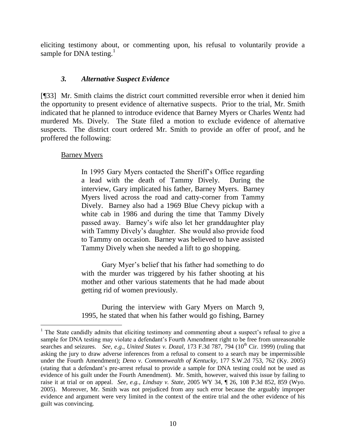eliciting testimony about, or commenting upon, his refusal to voluntarily provide a sample for DNA testing.<sup>1</sup>

#### *3. Alternative Suspect Evidence*

[¶33] Mr. Smith claims the district court committed reversible error when it denied him the opportunity to present evidence of alternative suspects. Prior to the trial, Mr. Smith indicated that he planned to introduce evidence that Barney Myers or Charles Wentz had murdered Ms. Dively. The State filed a motion to exclude evidence of alternative suspects. The district court ordered Mr. Smith to provide an offer of proof, and he proffered the following:

## Barney Myers

In 1995 Gary Myers contacted the Sheriff's Office regarding a lead with the death of Tammy Dively. During the interview, Gary implicated his father, Barney Myers. Barney Myers lived across the road and catty-corner from Tammy Dively. Barney also had a 1969 Blue Chevy pickup with a white cab in 1986 and during the time that Tammy Dively passed away. Barney's wife also let her granddaughter play with Tammy Dively's daughter. She would also provide food to Tammy on occasion. Barney was believed to have assisted Tammy Dively when she needed a lift to go shopping.

Gary Myer's belief that his father had something to do with the murder was triggered by his father shooting at his mother and other various statements that he had made about getting rid of women previously.

During the interview with Gary Myers on March 9, 1995, he stated that when his father would go fishing, Barney

<sup>&</sup>lt;sup>1</sup> The State candidly admits that eliciting testimony and commenting about a suspect's refusal to give a sample for DNA testing may violate a defendant's Fourth Amendment right to be free from unreasonable searches and seizures. *See, e.g., United States v. Dozal,* 173 F.3d 787, 794 (10<sup>th</sup> Cir. 1999) (ruling that asking the jury to draw adverse inferences from a refusal to consent to a search may be impermissible under the Fourth Amendment); *Deno v. Commonwealth of Kentucky,* 177 S.W.2d 753, 762 (Ky. 2005) (stating that a defendant's pre-arrest refusal to provide a sample for DNA testing could not be used as evidence of his guilt under the Fourth Amendment). Mr. Smith, however, waived this issue by failing to raise it at trial or on appeal. *See, e.g.*, *Lindsay v. State,* 2005 WY 34, ¶ 26, 108 P.3d 852, 859 (Wyo. 2005). Moreover, Mr. Smith was not prejudiced from any such error because the arguably improper evidence and argument were very limited in the context of the entire trial and the other evidence of his guilt was convincing.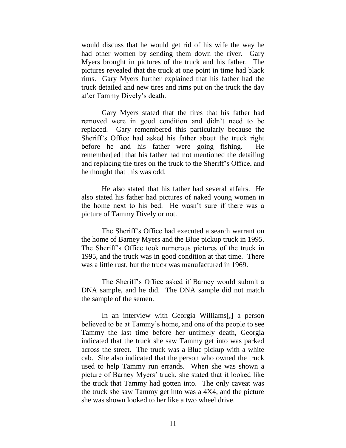would discuss that he would get rid of his wife the way he had other women by sending them down the river. Gary Myers brought in pictures of the truck and his father. The pictures revealed that the truck at one point in time had black rims. Gary Myers further explained that his father had the truck detailed and new tires and rims put on the truck the day after Tammy Dively's death.

Gary Myers stated that the tires that his father had removed were in good condition and didn't need to be replaced. Gary remembered this particularly because the Sheriff's Office had asked his father about the truck right before he and his father were going fishing. He remember[ed] that his father had not mentioned the detailing and replacing the tires on the truck to the Sheriff's Office, and he thought that this was odd.

He also stated that his father had several affairs. He also stated his father had pictures of naked young women in the home next to his bed. He wasn't sure if there was a picture of Tammy Dively or not.

The Sheriff's Office had executed a search warrant on the home of Barney Myers and the Blue pickup truck in 1995. The Sheriff's Office took numerous pictures of the truck in 1995, and the truck was in good condition at that time. There was a little rust, but the truck was manufactured in 1969.

The Sheriff's Office asked if Barney would submit a DNA sample, and he did. The DNA sample did not match the sample of the semen.

In an interview with Georgia Williams[,] a person believed to be at Tammy's home, and one of the people to see Tammy the last time before her untimely death, Georgia indicated that the truck she saw Tammy get into was parked across the street. The truck was a Blue pickup with a white cab. She also indicated that the person who owned the truck used to help Tammy run errands. When she was shown a picture of Barney Myers' truck, she stated that it looked like the truck that Tammy had gotten into. The only caveat was the truck she saw Tammy get into was a 4X4, and the picture she was shown looked to her like a two wheel drive.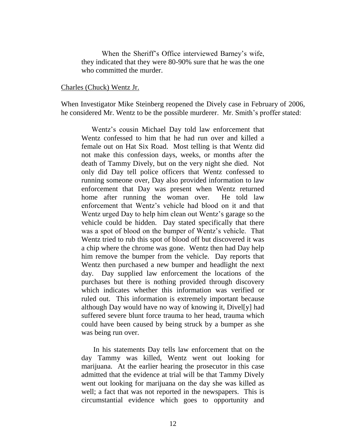When the Sheriff's Office interviewed Barney's wife, they indicated that they were 80-90% sure that he was the one who committed the murder.

#### Charles (Chuck) Wentz Jr.

When Investigator Mike Steinberg reopened the Dively case in February of 2006, he considered Mr. Wentz to be the possible murderer. Mr. Smith's proffer stated:

Wentz's cousin Michael Day told law enforcement that Wentz confessed to him that he had run over and killed a female out on Hat Six Road. Most telling is that Wentz did not make this confession days, weeks, or months after the death of Tammy Dively, but on the very night she died. Not only did Day tell police officers that Wentz confessed to running someone over, Day also provided information to law enforcement that Day was present when Wentz returned home after running the woman over. He told law enforcement that Wentz's vehicle had blood on it and that Wentz urged Day to help him clean out Wentz's garage so the vehicle could be hidden. Day stated specifically that there was a spot of blood on the bumper of Wentz's vehicle. That Wentz tried to rub this spot of blood off but discovered it was a chip where the chrome was gone. Wentz then had Day help him remove the bumper from the vehicle. Day reports that Wentz then purchased a new bumper and headlight the next day. Day supplied law enforcement the locations of the purchases but there is nothing provided through discovery which indicates whether this information was verified or ruled out. This information is extremely important because although Day would have no way of knowing it, Divel[y] had suffered severe blunt force trauma to her head, trauma which could have been caused by being struck by a bumper as she was being run over.

In his statements Day tells law enforcement that on the day Tammy was killed, Wentz went out looking for marijuana. At the earlier hearing the prosecutor in this case admitted that the evidence at trial will be that Tammy Dively went out looking for marijuana on the day she was killed as well; a fact that was not reported in the newspapers. This is circumstantial evidence which goes to opportunity and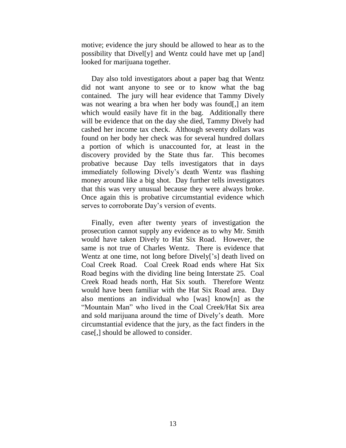motive; evidence the jury should be allowed to hear as to the possibility that Divel[y] and Wentz could have met up [and] looked for marijuana together.

Day also told investigators about a paper bag that Wentz did not want anyone to see or to know what the bag contained. The jury will hear evidence that Tammy Dively was not wearing a bra when her body was found[,] an item which would easily have fit in the bag. Additionally there will be evidence that on the day she died, Tammy Dively had cashed her income tax check. Although seventy dollars was found on her body her check was for several hundred dollars a portion of which is unaccounted for, at least in the discovery provided by the State thus far. This becomes probative because Day tells investigators that in days immediately following Dively's death Wentz was flashing money around like a big shot. Day further tells investigators that this was very unusual because they were always broke. Once again this is probative circumstantial evidence which serves to corroborate Day's version of events.

Finally, even after twenty years of investigation the prosecution cannot supply any evidence as to why Mr. Smith would have taken Dively to Hat Six Road. However, the same is not true of Charles Wentz. There is evidence that Wentz at one time, not long before Dively['s] death lived on Coal Creek Road. Coal Creek Road ends where Hat Six Road begins with the dividing line being Interstate 25. Coal Creek Road heads north, Hat Six south. Therefore Wentz would have been familiar with the Hat Six Road area. Day also mentions an individual who [was] know[n] as the "Mountain Man" who lived in the Coal Creek/Hat Six area and sold marijuana around the time of Dively's death. More circumstantial evidence that the jury, as the fact finders in the case[,] should be allowed to consider.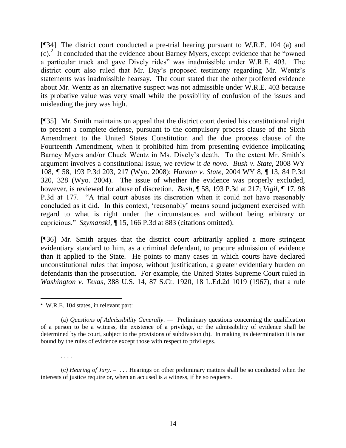[¶34] The district court conducted a pre-trial hearing pursuant to W.R.E. 104 (a) and  $(c)<sup>2</sup>$  It concluded that the evidence about Barney Myers, except evidence that he "owned" a particular truck and gave Dively rides" was inadmissible under W.R.E. 403. The district court also ruled that Mr. Day's proposed testimony regarding Mr. Wentz's statements was inadmissible hearsay. The court stated that the other proffered evidence about Mr. Wentz as an alternative suspect was not admissible under W.R.E. 403 because its probative value was very small while the possibility of confusion of the issues and misleading the jury was high.

[¶35] Mr. Smith maintains on appeal that the district court denied his constitutional right to present a complete defense, pursuant to the compulsory process clause of the Sixth Amendment to the United States Constitution and the due process clause of the Fourteenth Amendment, when it prohibited him from presenting evidence implicating Barney Myers and/or Chuck Wentz in Ms. Dively's death. To the extent Mr. Smith's argument involves a constitutional issue, we review it *de novo*. *Bush v. State,* 2008 WY 108, *¶* 58, 193 P.3d 203, 217 (Wyo. 2008); *Hannon v. State*, 2004 WY 8, ¶ 13, 84 P.3d 320, 328 (Wyo. 2004). The issue of whether the evidence was properly excluded, however, is reviewed for abuse of discretion. *Bush,* ¶ 58, 193 P.3d at 217; *Vigil*, ¶ 17, 98 P.3d at 177. "A trial court abuses its discretion when it could not have reasonably concluded as it did. In this context, ‗reasonably' means sound judgment exercised with regard to what is right under the circumstances and without being arbitrary or capricious.‖ *Szymanski,* ¶ 15, 166 P.3d at 883 (citations omitted).

[¶36] Mr. Smith argues that the district court arbitrarily applied a more stringent evidentiary standard to him, as a criminal defendant, to procure admission of evidence than it applied to the State. He points to many cases in which courts have declared unconstitutional rules that impose, without justification, a greater evidentiary burden on defendants than the prosecution. For example, the United States Supreme Court ruled in *Washington v. Texas,* 388 U.S. 14, 87 S.Ct. 1920, 18 L.Ed.2d 1019 (1967), that a rule

. . . .

(c*) Hearing of Jury*. – . . . Hearings on other preliminary matters shall be so conducted when the interests of justice require or, when an accused is a witness, if he so requests.

 2 W.R.E. 104 states, in relevant part:

<sup>(</sup>a) *Questions of Admissibility Generally*. — Preliminary questions concerning the qualification of a person to be a witness, the existence of a privilege, or the admissibility of evidence shall be determined by the court, subject to the provisions of subdivision (b). In making its determination it is not bound by the rules of evidence except those with respect to privileges.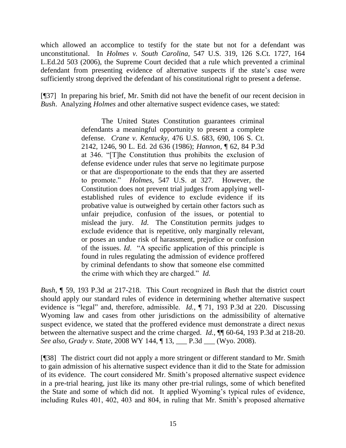which allowed an accomplice to testify for the state but not for a defendant was unconstitutional. In *Holmes v. South Carolina,* 547 U.S. 319, 126 S.Ct. 1727, 164 L.Ed.2d 503 (2006), the Supreme Court decided that a rule which prevented a criminal defendant from presenting evidence of alternative suspects if the state's case were sufficiently strong deprived the defendant of his constitutional right to present a defense.

[¶37] In preparing his brief, Mr. Smith did not have the benefit of our recent decision in *Bush*. Analyzing *Holmes* and other alternative suspect evidence cases, we stated:

> The United States Constitution guarantees criminal defendants a meaningful opportunity to present a complete defense. *Crane v. Kentucky*, 476 U.S. 683, 690, 106 S. Ct. 2142, 1246, 90 L. Ed. 2d 636 (1986); *Hannon*, ¶ 62, 84 P.3d at 346. "[T]he Constitution thus prohibits the exclusion of defense evidence under rules that serve no legitimate purpose or that are disproportionate to the ends that they are asserted to promote.‖ *Holmes*, 547 U.S. at 327. However, the Constitution does not prevent trial judges from applying wellestablished rules of evidence to exclude evidence if its probative value is outweighed by certain other factors such as unfair prejudice, confusion of the issues, or potential to mislead the jury. *Id*. The Constitution permits judges to exclude evidence that is repetitive, only marginally relevant, or poses an undue risk of harassment, prejudice or confusion of the issues. *Id.* "A specific application of this principle is found in rules regulating the admission of evidence proffered by criminal defendants to show that someone else committed the crime with which they are charged." *Id.*

*Bush,* ¶ 59, 193 P.3d at 217-218. This Court recognized in *Bush* that the district court should apply our standard rules of evidence in determining whether alternative suspect evidence is "legal" and, therefore, admissible. *Id.*, ¶ 71, 193 P.3d at 220. Discussing Wyoming law and cases from other jurisdictions on the admissibility of alternative suspect evidence, we stated that the proffered evidence must demonstrate a direct nexus between the alternative suspect and the crime charged. *Id.,* ¶¶ 60-64, 193 P.3d at 218-20. *See also*, *Grady v. State,* 2008 WY 144, ¶ 13, \_\_\_ P.3d \_\_\_ (Wyo. 2008).

[¶38] The district court did not apply a more stringent or different standard to Mr. Smith to gain admission of his alternative suspect evidence than it did to the State for admission of its evidence. The court considered Mr. Smith's proposed alternative suspect evidence in a pre-trial hearing, just like its many other pre-trial rulings, some of which benefited the State and some of which did not. It applied Wyoming's typical rules of evidence, including Rules 401, 402, 403 and 804, in ruling that Mr. Smith's proposed alternative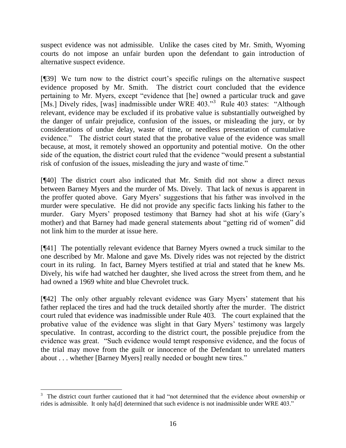suspect evidence was not admissible. Unlike the cases cited by Mr. Smith, Wyoming courts do not impose an unfair burden upon the defendant to gain introduction of alternative suspect evidence.

[¶39] We turn now to the district court's specific rulings on the alternative suspect evidence proposed by Mr. Smith. The district court concluded that the evidence pertaining to Mr. Myers, except "evidence that [he] owned a particular truck and gave [Ms.] Dively rides, [was] inadmissible under WRE 403."<sup>3</sup> Rule 403 states: "Although relevant, evidence may be excluded if its probative value is substantially outweighed by the danger of unfair prejudice, confusion of the issues, or misleading the jury, or by considerations of undue delay, waste of time, or needless presentation of cumulative evidence." The district court stated that the probative value of the evidence was small because, at most, it remotely showed an opportunity and potential motive. On the other side of the equation, the district court ruled that the evidence "would present a substantial risk of confusion of the issues, misleading the jury and waste of time."

[¶40] The district court also indicated that Mr. Smith did not show a direct nexus between Barney Myers and the murder of Ms. Dively. That lack of nexus is apparent in the proffer quoted above. Gary Myers' suggestions that his father was involved in the murder were speculative. He did not provide any specific facts linking his father to the murder. Gary Myers' proposed testimony that Barney had shot at his wife (Gary's mother) and that Barney had made general statements about "getting rid of women" did not link him to the murder at issue here.

[¶41] The potentially relevant evidence that Barney Myers owned a truck similar to the one described by Mr. Malone and gave Ms. Dively rides was not rejected by the district court in its ruling. In fact, Barney Myers testified at trial and stated that he knew Ms. Dively, his wife had watched her daughter, she lived across the street from them, and he had owned a 1969 white and blue Chevrolet truck.

[¶42] The only other arguably relevant evidence was Gary Myers' statement that his father replaced the tires and had the truck detailed shortly after the murder. The district court ruled that evidence was inadmissible under Rule 403. The court explained that the probative value of the evidence was slight in that Gary Myers' testimony was largely speculative. In contrast, according to the district court, the possible prejudice from the evidence was great. "Such evidence would tempt responsive evidence, and the focus of the trial may move from the guilt or innocence of the Defendant to unrelated matters about . . . whether [Barney Myers] really needed or bought new tires."

l

<sup>&</sup>lt;sup>3</sup> The district court further cautioned that it had "not determined that the evidence about ownership or rides is admissible. It only ha[d] determined that such evidence is not inadmissible under WRE 403."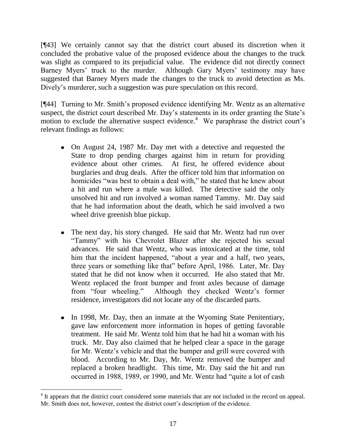[¶43] We certainly cannot say that the district court abused its discretion when it concluded the probative value of the proposed evidence about the changes to the truck was slight as compared to its prejudicial value. The evidence did not directly connect Barney Myers' truck to the murder. Although Gary Myers' testimony may have suggested that Barney Myers made the changes to the truck to avoid detection as Ms. Dively's murderer, such a suggestion was pure speculation on this record.

[¶44] Turning to Mr. Smith's proposed evidence identifying Mr. Wentz as an alternative suspect, the district court described Mr. Day's statements in its order granting the State's motion to exclude the alternative suspect evidence.<sup>4</sup> We paraphrase the district court's relevant findings as follows:

- On August 24, 1987 Mr. Day met with a detective and requested the State to drop pending charges against him in return for providing evidence about other crimes. At first, he offered evidence about burglaries and drug deals. After the officer told him that information on homicides "was best to obtain a deal with," he stated that he knew about a hit and run where a male was killed. The detective said the only unsolved hit and run involved a woman named Tammy. Mr. Day said that he had information about the death, which he said involved a two wheel drive greenish blue pickup.
- The next day, his story changed. He said that Mr. Wentz had run over  $\bullet$ "Tammy" with his Chevrolet Blazer after she rejected his sexual advances. He said that Wentz, who was intoxicated at the time, told him that the incident happened, "about a year and a half, two years, three years or something like that" before April, 1986. Later, Mr. Day stated that he did not know when it occurred. He also stated that Mr. Wentz replaced the front bumper and front axles because of damage from "four wheeling." Although they checked Wentz's former residence, investigators did not locate any of the discarded parts.
- In 1998, Mr. Day, then an inmate at the Wyoming State Penitentiary, gave law enforcement more information in hopes of getting favorable treatment. He said Mr. Wentz told him that he had hit a woman with his truck. Mr. Day also claimed that he helped clear a space in the garage for Mr. Wentz's vehicle and that the bumper and grill were covered with blood. According to Mr. Day, Mr. Wentz removed the bumper and replaced a broken headlight. This time, Mr. Day said the hit and run occurred in 1988, 1989, or 1990, and Mr. Wentz had "quite a lot of cash"

l

<sup>&</sup>lt;sup>4</sup> It appears that the district court considered some materials that are not included in the record on appeal. Mr. Smith does not, however, contest the district court's description of the evidence.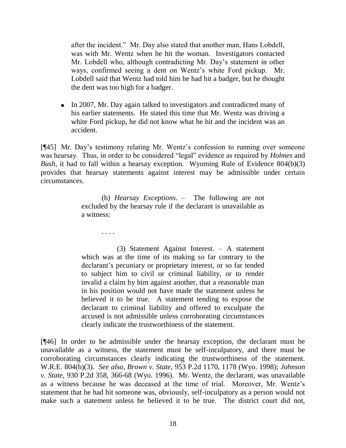after the incident." Mr. Day also stated that another man, Hans Lobdell, was with Mr. Wentz when he hit the woman. Investigators contacted Mr. Lobdell who, although contradicting Mr. Day's statement in other ways, confirmed seeing a dent on Wentz's white Ford pickup. Mr. Lobdell said that Wentz had told him he had hit a badger, but he thought the dent was too high for a badger.

• In 2007, Mr. Day again talked to investigators and contradicted many of his earlier statements. He stated this time that Mr. Wentz was driving a white Ford pickup, he did not know what he hit and the incident was an accident.

[¶45] Mr. Day's testimony relating Mr. Wentz's confession to running over someone was hearsay. Thus, in order to be considered "legal" evidence as required by *Holmes* and *Bush,* it had to fall within a hearsay exception. Wyoming Rule of Evidence 804(b)(3) provides that hearsay statements against interest may be admissible under certain circumstances.

> (b) *Hearsay Exceptions*. – The following are not excluded by the hearsay rule if the declarant is unavailable as a witness:

. . . .

(3) Statement Against Interest. – A statement which was at the time of its making so far contrary to the declarant's pecuniary or proprietary interest, or so far tended to subject him to civil or criminal liability, or to render invalid a claim by him against another, that a reasonable man in his position would not have made the statement unless he believed it to be true. A statement tending to expose the declarant to criminal liability and offered to exculpate the accused is not admissible unless corroborating circumstances clearly indicate the trustworthiness of the statement.

[¶46] In order to be admissible under the hearsay exception, the declarant must be unavailable as a witness, the statement must be self-inculpatory, and there must be corroborating circumstances clearly indicating the trustworthiness of the statement. W.R.E. 804(b)(3). *See also*, *Brown v. State,* 953 P.2d 1170, 1178 (Wyo. 1998); *Johnson v. State,* 930 P.2d 358, 366-68 (Wyo. 1996). Mr. Wentz, the declarant, was unavailable as a witness because he was deceased at the time of trial. Moreover, Mr. Wentz's statement that he had hit someone was, obviously, self-inculpatory as a person would not make such a statement unless he believed it to be true. The district court did not,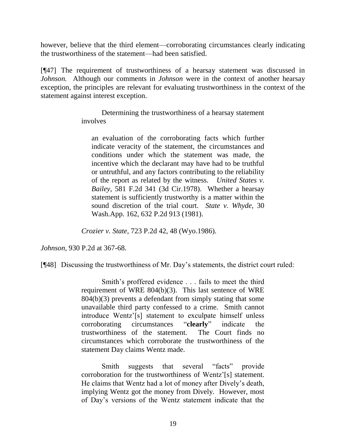however, believe that the third element—corroborating circumstances clearly indicating the trustworthiness of the statement—had been satisfied.

[¶47] The requirement of trustworthiness of a hearsay statement was discussed in *Johnson.* Although our comments in *Johnson* were in the context of another hearsay exception, the principles are relevant for evaluating trustworthiness in the context of the statement against interest exception.

> Determining the trustworthiness of a hearsay statement involves

an evaluation of the corroborating facts which further indicate veracity of the statement, the circumstances and conditions under which the statement was made, the incentive which the declarant may have had to be truthful or untruthful, and any factors contributing to the reliability of the report as related by the witness. *United States v. Bailey*, 581 F.2d 341 (3d Cir.1978). Whether a hearsay statement is sufficiently trustworthy is a matter within the sound discretion of the trial court. *State v. Whyde*, 30 Wash.App. 162, 632 P.2d 913 (1981).

*Crozier v. State*, 723 P.2d 42, 48 (Wyo.1986).

*Johnson,* 930 P.2d at 367-68.

[¶48] Discussing the trustworthiness of Mr. Day's statements, the district court ruled:

Smith's proffered evidence . . . fails to meet the third requirement of WRE 804(b)(3). This last sentence of WRE 804(b)(3) prevents a defendant from simply stating that some unavailable third party confessed to a crime. Smith cannot introduce Wentz'[s] statement to exculpate himself unless corroborating circumstances "**clearly**" indicate the trustworthiness of the statement. The Court finds no circumstances which corroborate the trustworthiness of the statement Day claims Wentz made.

Smith suggests that several "facts" provide corroboration for the trustworthiness of Wentz'[s] statement. He claims that Wentz had a lot of money after Dively's death, implying Wentz got the money from Dively. However, most of Day's versions of the Wentz statement indicate that the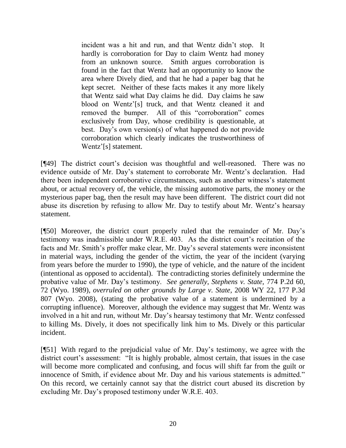incident was a hit and run, and that Wentz didn't stop. It hardly is corroboration for Day to claim Wentz had money from an unknown source. Smith argues corroboration is found in the fact that Wentz had an opportunity to know the area where Dively died, and that he had a paper bag that he kept secret. Neither of these facts makes it any more likely that Wentz said what Day claims he did. Day claims he saw blood on Wentz'[s] truck, and that Wentz cleaned it and removed the bumper. All of this "corroboration" comes exclusively from Day, whose credibility is questionable, at best. Day's own version(s) of what happened do not provide corroboration which clearly indicates the trustworthiness of Wentz'[s] statement.

[¶49] The district court's decision was thoughtful and well-reasoned. There was no evidence outside of Mr. Day's statement to corroborate Mr. Wentz's declaration. Had there been independent corroborative circumstances, such as another witness's statement about, or actual recovery of, the vehicle, the missing automotive parts, the money or the mysterious paper bag, then the result may have been different. The district court did not abuse its discretion by refusing to allow Mr. Day to testify about Mr. Wentz's hearsay statement.

[¶50] Moreover, the district court properly ruled that the remainder of Mr. Day's testimony was inadmissible under W.R.E. 403. As the district court's recitation of the facts and Mr. Smith's proffer make clear, Mr. Day's several statements were inconsistent in material ways, including the gender of the victim, the year of the incident (varying from years before the murder to 1990), the type of vehicle, and the nature of the incident (intentional as opposed to accidental). The contradicting stories definitely undermine the probative value of Mr. Day's testimony. *See generally*, *Stephens v. State,* 774 P.2d 60, 72 (Wyo. 1989), *overruled on other grounds by Large v. State,* 2008 WY 22, 177 P.3d 807 (Wyo. 2008), (stating the probative value of a statement is undermined by a corrupting influence). Moreover, although the evidence may suggest that Mr. Wentz was involved in a hit and run, without Mr. Day's hearsay testimony that Mr. Wentz confessed to killing Ms. Dively, it does not specifically link him to Ms. Dively or this particular incident.

[¶51] With regard to the prejudicial value of Mr. Day's testimony, we agree with the district court's assessment: "It is highly probable, almost certain, that issues in the case will become more complicated and confusing, and focus will shift far from the guilt or innocence of Smith, if evidence about Mr. Day and his various statements is admitted." On this record, we certainly cannot say that the district court abused its discretion by excluding Mr. Day's proposed testimony under W.R.E. 403.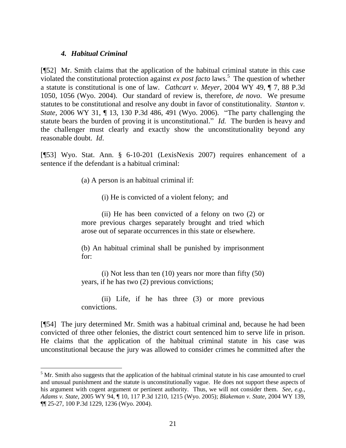#### *4. Habitual Criminal*

[¶52] Mr. Smith claims that the application of the habitual criminal statute in this case violated the constitutional protection against  $ex$  *post facto* laws.<sup>5</sup> The question of whether a statute is constitutional is one of law. *Cathcart v. Meyer*, 2004 WY 49, ¶ 7, 88 P.3d 1050, 1056 (Wyo. 2004). Our standard of review is, therefore, *de novo*. We presume statutes to be constitutional and resolve any doubt in favor of constitutionality. *Stanton v. State,* 2006 WY 31, ¶ 13, 130 P.3d 486, 491 (Wyo. 2006). "The party challenging the statute bears the burden of proving it is unconstitutional." *Id.* The burden is heavy and the challenger must clearly and exactly show the unconstitutionality beyond any reasonable doubt. *Id*.

[¶53] Wyo. Stat. Ann. § 6-10-201 (LexisNexis 2007) requires enhancement of a sentence if the defendant is a habitual criminal:

(a) A person is an habitual criminal if:

(i) He is convicted of a violent felony; and

(ii) He has been convicted of a felony on two (2) or more previous charges separately brought and tried which arose out of separate occurrences in this state or elsewhere.

(b) An habitual criminal shall be punished by imprisonment for:

(i) Not less than ten (10) years nor more than fifty (50) years, if he has two (2) previous convictions;

(ii) Life, if he has three (3) or more previous convictions.

[¶54] The jury determined Mr. Smith was a habitual criminal and, because he had been convicted of three other felonies, the district court sentenced him to serve life in prison. He claims that the application of the habitual criminal statute in his case was unconstitutional because the jury was allowed to consider crimes he committed after the

<sup>&</sup>lt;sup>5</sup> Mr. Smith also suggests that the application of the habitual criminal statute in his case amounted to cruel and unusual punishment and the statute is unconstitutionally vague. He does not support these aspects of his argument with cogent argument or pertinent authority. Thus, we will not consider them. *See, e.g.*, *Adams v. State,* 2005 WY 94, ¶ 10, 117 P.3d 1210, 1215 (Wyo. 2005); *Blakeman v. State,* 2004 WY 139, ¶¶ 25-27, 100 P.3d 1229, 1236 (Wyo. 2004).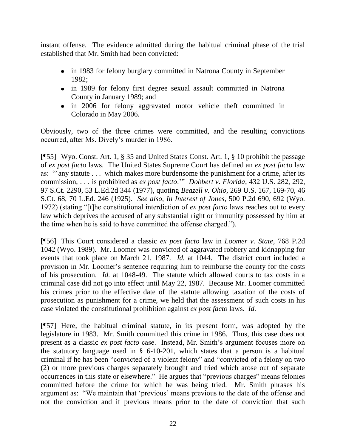instant offense. The evidence admitted during the habitual criminal phase of the trial established that Mr. Smith had been convicted:

- in 1983 for felony burglary committed in Natrona County in September 1982;
- in 1989 for felony first degree sexual assault committed in Natrona County in January 1989; and
- in 2006 for felony aggravated motor vehicle theft committed in Colorado in May 2006.

Obviously, two of the three crimes were committed, and the resulting convictions occurred, after Ms. Dively's murder in 1986.

[¶55] Wyo. Const. Art. 1, § 35 and United States Const. Art. 1, § 10 prohibit the passage of *ex post facto* laws. The United States Supreme Court has defined an *ex post facto* law as: "any statute . . . which makes more burdensome the punishment for a crime, after its commission, . . . is prohibited as *ex post facto*." *Dobbert v. Florida*, 432 U.S. 282, 292, 97 S.Ct. 2290, 53 L.Ed.2d 344 (1977), quoting *Beazell v. Ohio,* 269 U.S. 167, 169-70, 46 S.Ct. 68, 70 L.Ed. 246 (1925). *See also*, *In Interest of Jones,* 500 P.2d 690, 692 (Wyo. 1972) (stating "[t]he constitutional interdiction of *ex post facto* laws reaches out to every law which deprives the accused of any substantial right or immunity possessed by him at the time when he is said to have committed the offense charged.").

[¶56] This Court considered a classic *ex post facto* law in *Loomer v. State,* 768 P.2d 1042 (Wyo. 1989). Mr. Loomer was convicted of aggravated robbery and kidnapping for events that took place on March 21, 1987. *Id.* at 1044. The district court included a provision in Mr. Loomer's sentence requiring him to reimburse the county for the costs of his prosecution. *Id.* at 1048-49. The statute which allowed courts to tax costs in a criminal case did not go into effect until May 22, 1987. Because Mr. Loomer committed his crimes prior to the effective date of the statute allowing taxation of the costs of prosecution as punishment for a crime, we held that the assessment of such costs in his case violated the constitutional prohibition against *ex post facto* laws. *Id.* 

[¶57] Here, the habitual criminal statute, in its present form, was adopted by the legislature in 1983. Mr. Smith committed this crime in 1986. Thus, this case does not present as a classic *ex post facto* case. Instead, Mr. Smith's argument focuses more on the statutory language used in § 6-10-201, which states that a person is a habitual criminal if he has been "convicted of a violent felony" and "convicted of a felony on two (2) or more previous charges separately brought and tried which arose out of separate occurrences in this state or elsewhere." He argues that "previous charges" means felonies committed before the crime for which he was being tried. Mr. Smith phrases his argument as: "We maintain that 'previous' means previous to the date of the offense and not the conviction and if previous means prior to the date of conviction that such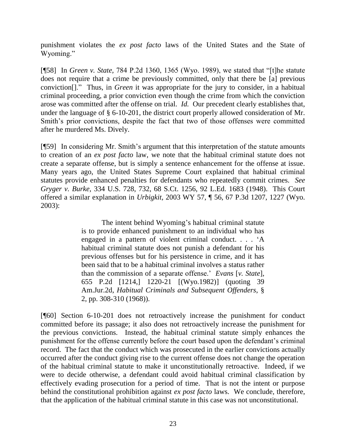punishment violates the *ex post facto* laws of the United States and the State of Wyoming."

[¶58] In *Green v. State, 784 P.2d 1360, 1365 (Wyo. 1989), we stated that "[t]he statute* does not require that a crime be previously committed, only that there be [a] previous conviction<sup>[]</sup>. Thus, in *Green* it was appropriate for the jury to consider, in a habitual criminal proceeding, a prior conviction even though the crime from which the conviction arose was committed after the offense on trial. *Id.* Our precedent clearly establishes that, under the language of § 6-10-201, the district court properly allowed consideration of Mr. Smith's prior convictions, despite the fact that two of those offenses were committed after he murdered Ms. Dively.

[¶59] In considering Mr. Smith's argument that this interpretation of the statute amounts to creation of an *ex post facto* law, we note that the habitual criminal statute does not create a separate offense, but is simply a sentence enhancement for the offense at issue. Many years ago, the United States Supreme Court explained that habitual criminal statutes provide enhanced penalties for defendants who repeatedly commit crimes. *See Gryger v. Burke,* 334 U.S. 728, 732, 68 S.Ct. 1256, 92 L.Ed. 1683 (1948). This Court offered a similar explanation in *Urbigkit,* 2003 WY 57, ¶ 56, 67 P.3d 1207, 1227 (Wyo. 2003):

> The intent behind Wyoming's habitual criminal statute is to provide enhanced punishment to an individual who has engaged in a pattern of violent criminal conduct. . . . ‗A habitual criminal statute does not punish a defendant for his previous offenses but for his persistence in crime, and it has been said that to be a habitual criminal involves a status rather than the commission of a separate offense.' *Evans* [*v. State*], 655 P.2d [1214,] 1220-21 [(Wyo.1982)] (quoting 39 Am.Jur.2d, *Habitual Criminals and Subsequent Offenders*, § 2, pp. 308-310 (1968)).

[¶60] Section 6-10-201 does not retroactively increase the punishment for conduct committed before its passage; it also does not retroactively increase the punishment for the previous convictions. Instead, the habitual criminal statute simply enhances the punishment for the offense currently before the court based upon the defendant's criminal record. The fact that the conduct which was prosecuted in the earlier convictions actually occurred after the conduct giving rise to the current offense does not change the operation of the habitual criminal statute to make it unconstitutionally retroactive. Indeed, if we were to decide otherwise, a defendant could avoid habitual criminal classification by effectively evading prosecution for a period of time. That is not the intent or purpose behind the constitutional prohibition against *ex post facto* laws. We conclude, therefore, that the application of the habitual criminal statute in this case was not unconstitutional.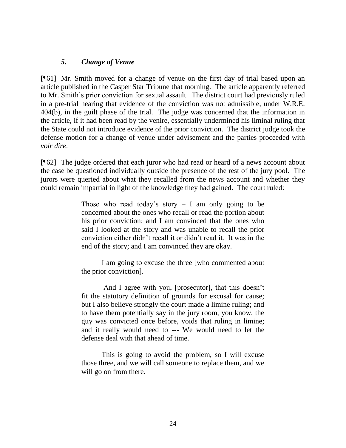#### *5. Change of Venue*

[¶61] Mr. Smith moved for a change of venue on the first day of trial based upon an article published in the Casper Star Tribune that morning. The article apparently referred to Mr. Smith's prior conviction for sexual assault. The district court had previously ruled in a pre-trial hearing that evidence of the conviction was not admissible, under W.R.E. 404(b), in the guilt phase of the trial. The judge was concerned that the information in the article, if it had been read by the venire, essentially undermined his liminal ruling that the State could not introduce evidence of the prior conviction. The district judge took the defense motion for a change of venue under advisement and the parties proceeded with *voir dire*.

[¶62] The judge ordered that each juror who had read or heard of a news account about the case be questioned individually outside the presence of the rest of the jury pool. The jurors were queried about what they recalled from the news account and whether they could remain impartial in light of the knowledge they had gained. The court ruled:

> Those who read today's story  $- I$  am only going to be concerned about the ones who recall or read the portion about his prior conviction; and I am convinced that the ones who said I looked at the story and was unable to recall the prior conviction either didn't recall it or didn't read it. It was in the end of the story; and I am convinced they are okay.

> I am going to excuse the three [who commented about the prior conviction].

> And I agree with you, [prosecutor], that this doesn't fit the statutory definition of grounds for excusal for cause; but I also believe strongly the court made a limine ruling; and to have them potentially say in the jury room, you know, the guy was convicted once before, voids that ruling in limine; and it really would need to --- We would need to let the defense deal with that ahead of time.

> This is going to avoid the problem, so I will excuse those three, and we will call someone to replace them, and we will go on from there.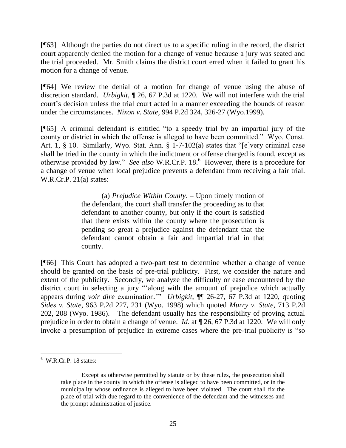[¶63] Although the parties do not direct us to a specific ruling in the record, the district court apparently denied the motion for a change of venue because a jury was seated and the trial proceeded. Mr. Smith claims the district court erred when it failed to grant his motion for a change of venue.

[¶64] We review the denial of a motion for change of venue using the abuse of discretion standard. *Urbigkit,* ¶ 26, 67 P.3d at 1220. We will not interfere with the trial court's decision unless the trial court acted in a manner exceeding the bounds of reason under the circumstances. *Nixon v. State*, 994 P.2d 324, 326-27 (Wyo.1999).

[¶65] A criminal defendant is entitled "to a speedy trial by an impartial jury of the county or district in which the offense is alleged to have been committed." Wyo. Const. Art. 1,  $\S$  10. Similarly, Wyo. Stat. Ann.  $\S$  1-7-102(a) states that "[e]very criminal case shall be tried in the county in which the indictment or offense charged is found, except as otherwise provided by law." See also W.R.Cr.P. 18.<sup>6</sup> However, there is a procedure for a change of venue when local prejudice prevents a defendant from receiving a fair trial. W.R.Cr.P. 21(a) states:

> (a) *Prejudice Within County*. – Upon timely motion of the defendant, the court shall transfer the proceeding as to that defendant to another county, but only if the court is satisfied that there exists within the county where the prosecution is pending so great a prejudice against the defendant that the defendant cannot obtain a fair and impartial trial in that county.

[¶66] This Court has adopted a two-part test to determine whether a change of venue should be granted on the basis of pre-trial publicity. First, we consider the nature and extent of the publicity. Secondly, we analyze the difficulty or ease encountered by the district court in selecting a jury "along with the amount of prejudice which actually appears during *voir dire* examination." *Urbigkit*,  $\P$  26-27, 67 P.3d at 1220, quoting *Sides v. State*, 963 P.2d 227, 231 (Wyo. 1998) which quoted *Murry v. State*, 713 P.2d 202, 208 (Wyo. 1986). The defendant usually has the responsibility of proving actual prejudice in order to obtain a change of venue. *Id.* at ¶ 26, 67 P.3d at 1220. We will only invoke a presumption of prejudice in extreme cases where the pre-trial publicity is "so

  $6$  W.R.Cr.P. 18 states:

Except as otherwise permitted by statute or by these rules, the prosecution shall take place in the county in which the offense is alleged to have been committed, or in the municipality whose ordinance is alleged to have been violated. The court shall fix the place of trial with due regard to the convenience of the defendant and the witnesses and the prompt administration of justice.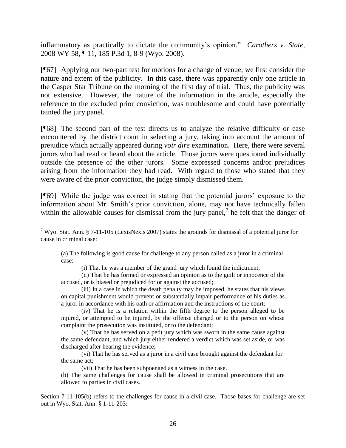inflammatory as practically to dictate the community's opinion." *Carothers v. State,* 2008 WY 58, ¶ 11, 185 P.3d 1, 8-9 (Wyo. 2008).

[¶67] Applying our two-part test for motions for a change of venue, we first consider the nature and extent of the publicity. In this case, there was apparently only one article in the Casper Star Tribune on the morning of the first day of trial. Thus, the publicity was not extensive. However, the nature of the information in the article, especially the reference to the excluded prior conviction, was troublesome and could have potentially tainted the jury panel.

[¶68] The second part of the test directs us to analyze the relative difficulty or ease encountered by the district court in selecting a jury, taking into account the amount of prejudice which actually appeared during *voir dire* examination. Here, there were several jurors who had read or heard about the article. Those jurors were questioned individually outside the presence of the other jurors. Some expressed concerns and/or prejudices arising from the information they had read. With regard to those who stated that they were aware of the prior conviction, the judge simply dismissed them.

[¶69] While the judge was correct in stating that the potential jurors' exposure to the information about Mr. Smith's prior conviction, alone, may not have technically fallen within the allowable causes for dismissal from the jury panel,<sup>7</sup> he felt that the danger of

 $\overline{a}$ 

(a) The following is good cause for challenge to any person called as a juror in a criminal case:

(i) That he was a member of the grand jury which found the indictment;

(ii) That he has formed or expressed an opinion as to the guilt or innocence of the accused, or is biased or prejudiced for or against the accused;

(iii) In a case in which the death penalty may be imposed, he states that his views on capital punishment would prevent or substantially impair performance of his duties as a juror in accordance with his oath or affirmation and the instructions of the court;

(iv) That he is a relation within the fifth degree to the person alleged to be injured, or attempted to be injured, by the offense charged or to the person on whose complaint the prosecution was instituted, or to the defendant;

(v) That he has served on a petit jury which was sworn in the same cause against the same defendant, and which jury either rendered a verdict which was set aside, or was discharged after hearing the evidence;

(vi) That he has served as a juror in a civil case brought against the defendant for the same act;

(vii) That he has been subpoenaed as a witness in the case.

(b) The same challenges for cause shall be allowed in criminal prosecutions that are allowed to parties in civil cases.

Section 7-11-105(b) refers to the challenges for cause in a civil case. Those bases for challenge are set out in Wyo. Stat. Ann. § 1-11-203:

<sup>&</sup>lt;sup>7</sup> Wyo. Stat. Ann. § 7-11-105 (LexisNexis 2007) states the grounds for dismissal of a potential juror for cause in criminal case: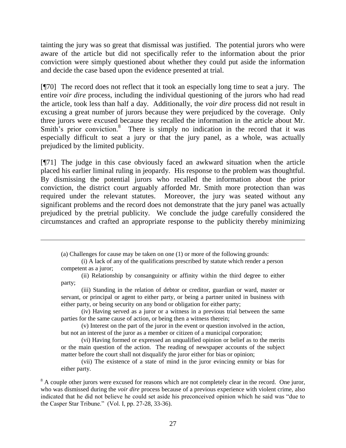tainting the jury was so great that dismissal was justified. The potential jurors who were aware of the article but did not specifically refer to the information about the prior conviction were simply questioned about whether they could put aside the information and decide the case based upon the evidence presented at trial.

[¶70] The record does not reflect that it took an especially long time to seat a jury. The entire *voir dire* process, including the individual questioning of the jurors who had read the article, took less than half a day. Additionally, the *voir dire* process did not result in excusing a great number of jurors because they were prejudiced by the coverage. Only three jurors were excused because they recalled the information in the article about Mr. Smith's prior conviction.<sup>8</sup> There is simply no indication in the record that it was especially difficult to seat a jury or that the jury panel, as a whole, was actually prejudiced by the limited publicity.

[¶71] The judge in this case obviously faced an awkward situation when the article placed his earlier liminal ruling in jeopardy. His response to the problem was thoughtful. By dismissing the potential jurors who recalled the information about the prior conviction, the district court arguably afforded Mr. Smith more protection than was required under the relevant statutes. Moreover, the jury was seated without any significant problems and the record does not demonstrate that the jury panel was actually prejudiced by the pretrial publicity. We conclude the judge carefully considered the circumstances and crafted an appropriate response to the publicity thereby minimizing

(a) Challenges for cause may be taken on one (1) or more of the following grounds:

(i) A lack of any of the qualifications prescribed by statute which render a person competent as a juror;

(ii) Relationship by consanguinity or affinity within the third degree to either party;

(iii) Standing in the relation of debtor or creditor, guardian or ward, master or servant, or principal or agent to either party, or being a partner united in business with either party, or being security on any bond or obligation for either party;

(iv) Having served as a juror or a witness in a previous trial between the same parties for the same cause of action, or being then a witness therein;

(v) Interest on the part of the juror in the event or question involved in the action, but not an interest of the juror as a member or citizen of a municipal corporation;

(vi) Having formed or expressed an unqualified opinion or belief as to the merits or the main question of the action. The reading of newspaper accounts of the subject matter before the court shall not disqualify the juror either for bias or opinion;

(vii) The existence of a state of mind in the juror evincing enmity or bias for either party.

<sup>&</sup>lt;sup>8</sup> A couple other jurors were excused for reasons which are not completely clear in the record. One juror, who was dismissed during the *voir dire* process because of a previous experience with violent crime, also indicated that he did not believe he could set aside his preconceived opinion which he said was "due to the Casper Star Tribune." (Vol. I, pp. 27-28, 33-36).